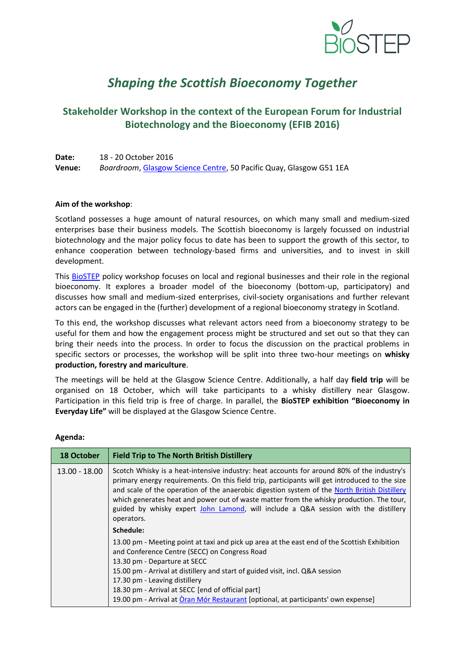

# *Shaping the Scottish Bioeconomy Together*

## **Stakeholder Workshop in the context of the European Forum for Industrial Biotechnology and the Bioeconomy (EFIB 2016)**

| Date:  | 18 - 20 October 2016                                                |
|--------|---------------------------------------------------------------------|
| Venue: | Boardroom, Glasgow Science Centre, 50 Pacific Quay, Glasgow G51 1EA |

#### **Aim of the workshop**:

Scotland possesses a huge amount of natural resources, on which many small and medium-sized enterprises base their business models. The Scottish bioeconomy is largely focussed on industrial biotechnology and the major policy focus to date has been to support the growth of this sector, to enhance cooperation between technology-based firms and universities, and to invest in skill development.

This **BioSTEP** policy workshop focuses on local and regional businesses and their role in the regional bioeconomy. It explores a broader model of the bioeconomy (bottom-up, participatory) and discusses how small and medium-sized enterprises, civil-society organisations and further relevant actors can be engaged in the (further) development of a regional bioeconomy strategy in Scotland.

To this end, the workshop discusses what relevant actors need from a bioeconomy strategy to be useful for them and how the engagement process might be structured and set out so that they can bring their needs into the process. In order to focus the discussion on the practical problems in specific sectors or processes, the workshop will be split into three two-hour meetings on **whisky production, forestry and mariculture**.

The meetings will be held at the Glasgow Science Centre. Additionally, a half day **field trip** will be organised on 18 October, which will take participants to a whisky distillery near Glasgow. Participation in this field trip is free of charge. In parallel, the **BioSTEP exhibition "Bioeconomy in Everyday Life"** will be displayed at the Glasgow Science Centre.

| <b>18 October</b> | <b>Field Trip to The North British Distillery</b>                                                                                                                                                                                                                                                                                                                                                                                                                                            |
|-------------------|----------------------------------------------------------------------------------------------------------------------------------------------------------------------------------------------------------------------------------------------------------------------------------------------------------------------------------------------------------------------------------------------------------------------------------------------------------------------------------------------|
| $13.00 - 18.00$   | Scotch Whisky is a heat-intensive industry: heat accounts for around 80% of the industry's<br>primary energy requirements. On this field trip, participants will get introduced to the size<br>and scale of the operation of the anaerobic digestion system of the North British Distillery<br>which generates heat and power out of waste matter from the whisky production. The tour,<br>guided by whisky expert John Lamond, will include a Q&A session with the distillery<br>operators. |
|                   | Schedule:                                                                                                                                                                                                                                                                                                                                                                                                                                                                                    |
|                   | 13.00 pm - Meeting point at taxi and pick up area at the east end of the Scottish Exhibition<br>and Conference Centre (SECC) on Congress Road<br>13.30 pm - Departure at SECC<br>15.00 pm - Arrival at distillery and start of guided visit, incl. Q&A session<br>17.30 pm - Leaving distillery<br>18.30 pm - Arrival at SECC [end of official part]<br>19.00 pm - Arrival at Oran Mór Restaurant [optional, at participants' own expense]                                                   |

#### **Agenda:**